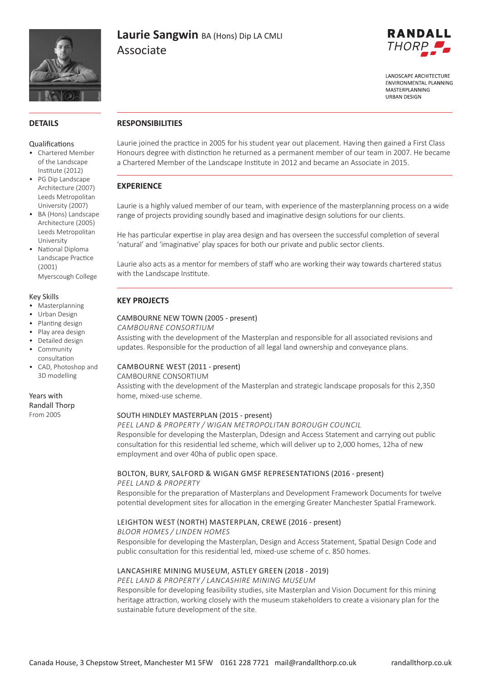

# **Laurie Sangwin BA (Hons) Dip LA CMLI** Associate



**LANDSCAPE ARCHITECTURE FNVIRONMENTAL PLANNING** MASTERPLANNING **URBAN DESIGN** 

### **DETAILS**

### Qualifications

- Chartered Member of the Landscape Institute (2012)
- PG Dip Landscape Architecture (2007) Leeds Metropolitan University (2007)
- BA (Hons) Landscape Architecture (2005) Leeds Metropolitan University
- National Diploma Landscape Practice (2001) Myerscough College

### Key Skills

- Masterplanning
- Urban Design
- Planting design
- Play area design
- Detailed design • Community
- consultation • CAD, Photoshop and 3D modelling

### Years with Randall Thorp From 2005

## **RESPONSIBILITIES**

Laurie joined the practice in 2005 for his student year out placement. Having then gained a First Class Honours degree with distinction he returned as a permanent member of our team in 2007. He became a Chartered Member of the Landscape Institute in 2012 and became an Associate in 2015.

### **EXPERIENCE**

Laurie is a highly valued member of our team, with experience of the masterplanning process on a wide range of projects providing soundly based and imaginative design solutions for our clients.

He has particular expertise in play area design and has overseen the successful completion of several 'natural' and 'imaginative' play spaces for both our private and public sector clients.

Laurie also acts as a mentor for members of staff who are working their way towards chartered status with the Landscape Institute.

## **KEY PROJECTS**

### CAMBOURNE NEW TOWN (2005 - present)

*CAMBOURNE CONSORTIUM*

Assisting with the development of the Masterplan and responsible for all associated revisions and updates. Responsible for the production of all legal land ownership and conveyance plans.

### CAMBOURNE WEST (2011 - present)

CAMBOURNE CONSORTIUM

Assisting with the development of the Masterplan and strategic landscape proposals for this 2,350 home, mixed-use scheme.

### SOUTH HINDLEY MASTERPLAN (2015 - present)

*PEEL LAND & PROPERTY / WIGAN METROPOLITAN BOROUGH COUNCIL* Responsible for developing the Masterplan, Ddesign and Access Statement and carrying out public consultation for this residential led scheme, which will deliver up to 2,000 homes, 12ha of new employment and over 40ha of public open space.

# BOLTON, BURY, SALFORD & WIGAN GMSF REPRESENTATIONS (2016 - present)

### *PEEL LAND & PROPERTY*

Responsible for the preparation of Masterplans and Development Framework Documents for twelve potential development sites for allocation in the emerging Greater Manchester Spatial Framework.

### LEIGHTON WEST (NORTH) MASTERPLAN, CREWE (2016 - present)

### *BLOOR HOMES / LINDEN HOMES*

Responsible for developing the Masterplan, Design and Access Statement, Spatial Design Code and public consultation for this residential led, mixed-use scheme of c. 850 homes.

### LANCASHIRE MINING MUSEUM, ASTLEY GREEN (2018 - 2019)

### *PEEL LAND & PROPERTY / LANCASHIRE MINING MUSEUM*

Responsible for developing feasibility studies, site Masterplan and Vision Document for this mining heritage attraction, working closely with the museum stakeholders to create a visionary plan for the sustainable future development of the site.